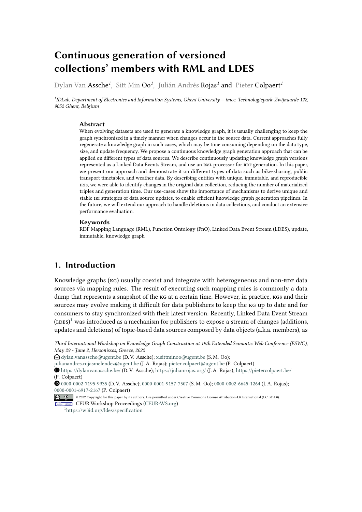# **Continuous generation of versioned collections' members with RML and LDES**

Dylan Van Assche*<sup>1</sup>* , Sitt Min Oo*<sup>1</sup>* , Julián Andrés Rojas*<sup>1</sup>* and Pieter Colpaert*<sup>1</sup>*

*1 IDLab, Department of Electronics and Information Systems, Ghent University – imec, Technologiepark-Zwijnaarde 122, 9052 Ghent, Belgium*

#### **Abstract**

When evolving datasets are used to generate a knowledge graph, it is usually challenging to keep the graph synchronized in a timely manner when changes occur in the source data. Current approaches fully regenerate a knowledge graph in such cases, which may be time consuming depending on the data type, size, and update frequency. We propose a continuous knowledge graph generation approach that can be applied on different types of data sources. We describe continuously updating knowledge graph versions represented as a Linked Data Events Stream, and use an RML processor for RDF generation. In this paper, we present our approach and demonstrate it on different types of data such as bike-sharing, public transport timetables, and weather data. By describing entities with unique, immutable, and reproducible iris, we were able to identify changes in the original data collection, reducing the number of materialized triples and generation time. Our use-cases show the importance of mechanisms to derive unique and stable iri strategies of data source updates, to enable efficient knowledge graph generation pipelines. In the future, we will extend our approach to handle deletions in data collections, and conduct an extensive performance evaluation.

#### **Keywords**

RDF Mapping Language (RML), Function Ontology (FnO), Linked Data Event Stream (LDES), update, immutable, knowledge graph

# **1. Introduction**

Knowledge graphs (KG) usually coexist and integrate with heterogeneous and non-RDF data sources via mapping rules. The result of executing such mapping rules is commonly a data dump that represents a snapshot of the kg at a certain time. However, in practice, kgs and their sources may evolve making it difficult for data publishers to keep the kg up to date and for consumers to stay synchronized with their latest version. Recently, Linked Data Event Stream  $({\rm \text{\texttt{LDES}}})^1$  $({\rm \text{\texttt{LDES}}})^1$  was introduced as a mechanism for publishers to expose a stream of changes (additions, updates and deletions) of topic-based data sources composed by data objects (a.k.a. members), as

*Third International Workshop on Knowledge Graph Construction at 19th Extended Semantic Web Conference (ESWC), May 29 - June 2, Hersonissos, Greece, 2022*

 $\bigcirc$  [dylan.vanassche@ugent.be](mailto:dylan.vanassche@ugent.be) (D. V. Assche); [x.sittminoo@ugent.be](mailto:x.sittminoo@ugent.be) (S. M. Oo);

[julianandres.rojasmelendez@ugent.be](mailto:julianandres.rojasmelendez@ugent.be) (J. A. Rojas); [pieter.colpaert@ugent.be](mailto:pieter.colpaert@ugent.be) (P. Colpaert)

[https://dylanvanassche](https://dylanvanassche.be/).be/ (D. V. Assche); [https://julianrojas](https://julianrojas.org/).org/ (J. A. Rojas); [https://pietercolpaert](https://pietercolpaert.be/).be/ (P. Colpaert)

[0000-0002-7195-9935](https://orcid.org/0000-0002-7195-9935) (D. V. Assche); [0000-0001-9157-7507](https://orcid.org/0000-0001-9157-7507) (S. M. Oo); [0000-0002-6645-1264](https://orcid.org/0000-0002-6645-1264) (J. A. Rojas); [0000-0001-6917-2167](https://orcid.org/0000-0001-6917-2167) (P. Colpaert)

<sup>©</sup> 2022 Copyright for this paper by its authors. Use permitted under Creative Commons License Attribution 4.0 International (CC BY 4.0). **CEUR Workshop [Proceedings](http://ceur-ws.org) [\(CEUR-WS.org\)](http://ceur-ws.org)** 

<span id="page-0-0"></span><sup>1</sup> https://w3id.[org/ldes/specification](https://w3id.org/ldes/specification)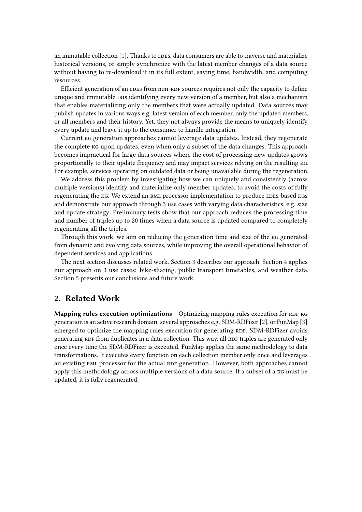an immutable collection [\[1\]](#page-7-0). Thanks to LDES, data consumers are able to traverse and materialize historical versions, or simply synchronize with the latest member changes of a data source without having to re-download it in its full extent, saving time, bandwidth, and computing resources.

Efficient generation of an LDES from non-RDF sources requires not only the capacity to define unique and immutable IRIS identifying every new version of a member, but also a mechanism that enables materializing only the members that were actually updated. Data sources may publish updates in various ways e.g. latest version of each member, only the updated members, or all members and their history. Yet, they not always provide the means to uniquely identify every update and leave it up to the consumer to handle integration.

Current kg generation approaches cannot leverage data updates. Instead, they regenerate the complete kg upon updates, even when only a subset of the data changes. This approach becomes impractical for large data sources where the cost of processing new updates grows proportionally to their update frequency and may impact services relying on the resulting kg. For example, services operating on outdated data or being unavailable during the regeneration.

We address this problem by investigating how we can uniquely and consistently (across multiple versions) identify and materialize only member updates, to avoid the costs of fully regenerating the KG. We extend an RML processor implementation to produce LDES-based KGS and demonstrate our approach through 3 use cases with varying data characteristics, e.g. size and update strategy. Preliminary tests show that our approach reduces the processing time and number of triples up to 20 times when a data source is updated compared to completely regenerating all the triples.

Through this work, we aim on reducing the generation time and size of the kg generated from dynamic and evolving data sources, while improving the overall operational behavior of dependent services and applications.

The next section discusses related work. Section [3](#page-2-0) describes our approach. Section [4](#page-5-0) applies our approach on 3 use cases: bike-sharing, public transport timetables, and weather data. Section [5](#page-7-1) presents our conclusions and future work.

## **2. Related Work**

**Mapping rules execution optimizations** Optimizing mapping rules execution for RDF KG generation is an active research domain; several approaches e.g. SDM-RDFizer [\[2\]](#page-7-2), or FunMap [\[3\]](#page-7-3) emerged to optimize the mapping rules execution for generating RDF. SDM-RDFizer avoids generating RDF from duplicates in a data collection. This way, all RDF triples are generated only once every time the SDM-RDFizer is executed. FunMap applies the same methodology to data transformations. It executes every function on each collection member only once and leverages an existing RML processor for the actual RDF generation. However, both approaches cannot apply this methodology across multiple versions of a data source. If a subset of a kg must be updated, it is fully regenerated.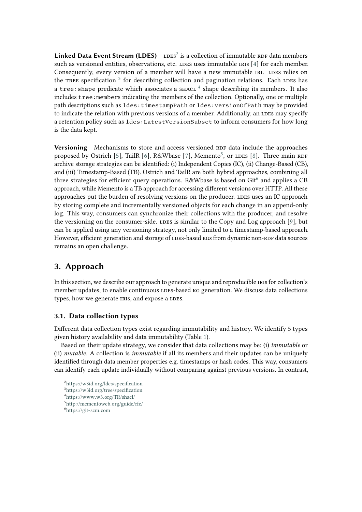Linked Data Event Stream (LDES) LDES<sup>[2](#page-2-1)</sup> is a collection of immutable RDF data members such as versioned entities, observations, etc. LDES uses immutable IRIS [\[4\]](#page-7-4) for each member. Consequently, every version of a member will have a new immutable IRI. LDES relies on the TREE specification <sup>[3](#page-2-2)</sup> for describing collection and pagination relations. Each LDES has а  $\texttt{tree:shape}$  predicate which associates a  $\texttt{shact}$   $^4$  $^4$  shape describing its members. It also includes tree:members indicating the members of the collection. Optionally, one or multiple path descriptions such as ldes:timestampPath or ldes:versionOfPath may be provided to indicate the relation with previous versions of a member. Additionally, an LDES may specify a retention policy such as ldes:LatestVersionSubset to inform consumers for how long is the data kept.

**Versioning** Mechanisms to store and access versioned RDF data include the approaches proposed by Ostrich [\[5\]](#page-7-5), TailR [\[6\]](#page-7-6), R&Wbase [\[7\]](#page-7-7), Memento<sup>[5](#page-2-4)</sup>, or LDES [\[8\]](#page-7-8). Three main RDF archive storage strategies can be identified: (i) Independent Copies (IC), (ii) Change-Based (CB), and (iii) Timestamp-Based (TB). Ostrich and TailR are both hybrid approaches, combining all three strategies for efficient query operations. R&Wbase is based on Git<sup>[6](#page-2-5)</sup> and applies a CB approach, while Memento is a TB approach for accessing different versions over HTTP. All these approaches put the burden of resolving versions on the producer. LDES uses an IC approach by storing complete and incrementally versioned objects for each change in an append-only log. This way, consumers can synchronize their collections with the producer, and resolve the versioning on the consumer-side. LDES is similar to the Copy and Log approach [\[9\]](#page-7-9), but can be applied using any versioning strategy, not only limited to a timestamp-based approach. However, efficient generation and storage of LDES-based kGs from dynamic non-RDF data sources remains an open challenge.

# <span id="page-2-0"></span>**3. Approach**

In this section, we describe our approach to generate unique and reproducible IRIS for collection's member updates, to enable continuous LDES-based kG generation. We discuss data collections types, how we generate IRIS, and expose a LDES.

## <span id="page-2-6"></span>**3.1. Data collection types**

Different data collection types exist regarding immutability and history. We identify 5 types given history availability and data immutability (Table [1\)](#page-3-0).

Based on their update strategy, we consider that data collections may be: (i) *immutable* or (ii) *mutable*. A collection is *immutable* if all its members and their updates can be uniquely identified through data member properties e.g. timestamps or hash codes. This way, consumers can identify each update individually without comparing against previous versions. In contrast,

<span id="page-2-1"></span><sup>2</sup> https://w3id.[org/ldes/specification](https://w3id.org/ldes/specification)

<span id="page-2-2"></span><sup>3</sup> https://w3id.[org/tree/specification](https://w3id.org/tree/specification)

<span id="page-2-3"></span><sup>4</sup> https://www.w3.[org/TR/shacl/](https://www.w3.org/TR/shacl/)

<span id="page-2-4"></span><sup>5</sup> [http://mementoweb](http://mementoweb.org/guide/rfc/).org/guide/rfc/

<span id="page-2-5"></span><sup>6</sup> [https://git-scm](https://git-scm.com).com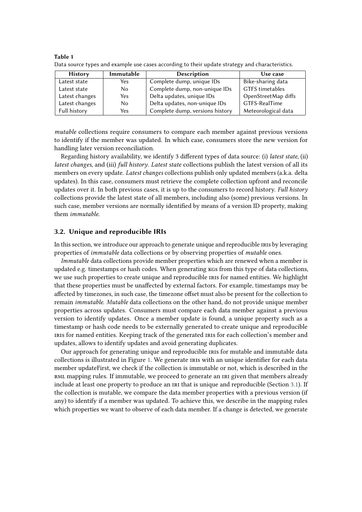| <b>History</b> | Immutable      | <b>Description</b>              | Use case            |
|----------------|----------------|---------------------------------|---------------------|
| Latest state   | Yes            | Complete dump, unique IDs       | Bike-sharing data   |
| Latest state   | N <sub>0</sub> | Complete dump, non-unique IDs   | GTFS timetables     |
| Latest changes | <b>Yes</b>     | Delta updates, unique IDs       | OpenStreetMap diffs |
| Latest changes | N <sub>0</sub> | Delta updates, non-unique IDs   | GTFS-RealTime       |
| Full history   | Yes            | Complete dump, versions history | Meteorological data |

<span id="page-3-0"></span>**Table 1** Data source types and example use cases according to their update strategy and characteristics.

*mutable* collections require consumers to compare each member against previous versions to identify if the member was updated. In which case, consumers store the new version for handling later version reconciliation.

Regarding history availability, we identify 3 different types of data source: (i) *latest state*, (ii) *latest changes*, and (iii) *full history*. *Latest state* collections publish the latest version of all its members on every update. *Latest changes* collections publish only updated members (a.k.a. delta updates). In this case, consumers must retrieve the complete collection upfront and reconcile updates over it. In both previous cases, it is up to the consumers to record history. *Full history* collections provide the latest state of all members, including also (some) previous versions. In such case, member versions are normally identified by means of a version ID property, making them *immutable*.

#### <span id="page-3-1"></span>**3.2. Unique and reproducible IRIs**

In this section, we introduce our approach to generate unique and reproducible IRIS by leveraging properties of *immutable* data collections or by observing properties of *mutable* ones.

*Immutable* data collections provide member properties which are renewed when a member is updated e.g. timestamps or hash codes. When generating kgs from this type of data collections, we use such properties to create unique and reproducible IRIS for named entities. We highlight that these properties must be unaffected by external factors. For example, timestamps may be affected by timezones, in such case, the timezone offset must also be present for the collection to remain *immutable*. *Mutable* data collections on the other hand, do not provide unique member properties across updates. Consumers must compare each data member against a previous version to identify updates. Once a member update is found, a unique property such as a timestamp or hash code needs to be externally generated to create unique and reproducible iris for named entities. Keeping track of the generated iris for each collection's member and updates, allows to identify updates and avoid generating duplicates.

Our approach for generating unique and reproducible iris for mutable and immutable data collections is illustrated in Figure [1.](#page-4-0) We generate iris with an unique identifier for each data member updateFirst, we check if the collection is immutable or not, which is described in the RML mapping rules. If immutable, we proceed to generate an IRI given that members already include at least one property to produce an IRI that is unique and reproducible (Section [3.1\)](#page-2-6). If the collection is mutable, we compare the data member properties with a previous version (if any) to identify if a member was updated. To achieve this, we describe in the mapping rules which properties we want to observe of each data member. If a change is detected, we generate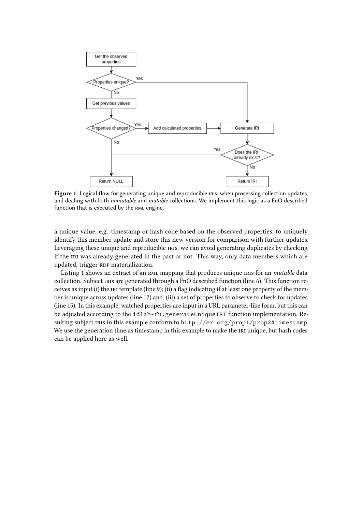

<span id="page-4-0"></span>Figure 1: Logical flow for generating unique and reproducible IRIS, when processing collection updates, and dealing with both *immutable* and *mutable* collections. We implement this logic as a FnO described function that is executed by the RML engine.

a unique value, e.g. timestamp or hash code based on the observed properties, to uniquely identify this member update and store this new version for comparison with further updates. Leveraging these unique and reproducible IRIS, we can avoid generating duplicates by checking if the IRI was already generated in the past or not. This way, only data members which are updated, trigger RDF materialization.

Listing 1 shows an extract of an RML mapping that produces unique IRIS for an *mutable* data collection. Subject iris are generated through a FnO described function (line 6). This function receives as input (i) the IRI template (line 9); (ii) a flag indicating if at least one property of the member is unique across updates (line 12) and; (iii) a set of properties to observe to check for updates (line 15). In this example, watched properties are input in a URL parameter-like form, but this can be adjusted according to the idlab-fn:generateUniqueIRI function implementation. Resulting subject IRIs in this example conform to http://ex.org/prop1/prop2#timestamp. We use the generation time as timestamp in this example to make the IRI unique, but hash codes can be applied here as well.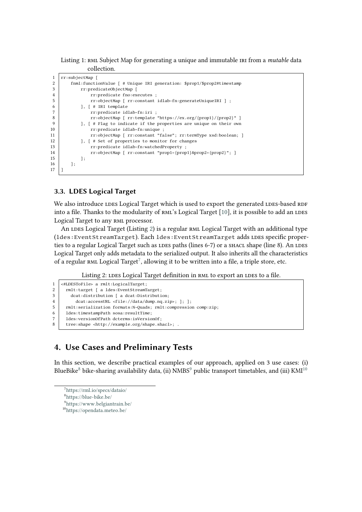Listing 1: RML Subject Map for generating a unique and immutable IRI from a *mutable* data collection.

| 1  | rr:subjectMap [                                                        |
|----|------------------------------------------------------------------------|
| 2  | fnml:functionValue [# Unique IRI generation: \$prop1/\$prop2#timestamp |
| 3  | rr:predicateObjectMap [                                                |
| 4  | rr: predicate fno: executes ;                                          |
| 5  | rr:objectMap [ rr:constant idlab-fn:generateUniqueIRI ] ;              |
| 6  | $\vert$ , $\vert$ # IRI template                                       |
|    | rr:predicate idlab-fn:iri ;                                            |
| 8  | rr:objectMap [ rr:template "https://ex.org/{prop1}/{prop2}" ]          |
| 9  | ], [# Flag to indicate if the properties are unique on their own       |
| 10 | rr:predicate idlab-fn:unique ;                                         |
| 11 | rr:objectMap [ rr:constant "false"; rr:termType xsd:boolean; ]         |
| 12 | ], [# Set of properties to monitor for changes                         |
| 13 | rr:predicate idlab-fn:watchedProperty ;                                |
| 14 | rr:objectMap [ rr:constant "prop1={prop1}&prop2={prop2}"; ]            |
| 15 | ];                                                                     |
| 16 | 1;                                                                     |
| 17 |                                                                        |
|    |                                                                        |

### **3.3. LDES Logical Target**

We also introduce LDES Logical Target which is used to export the generated LDES-based RDF into a file. Thanks to the modularity of RML's Logical Target [\[10\]](#page-7-10), it is possible to add an LDES Logical Target to any RML processor.

An LDES Logical Target (Listing [2\)](#page-5-1) is a regular RML Logical Target with an additional type (1des: Event Stream Target). Each 1des: Event Stream Target adds IDES specific properties to a regular Logical Target such as LDES paths (lines 6-7) or a SHACL shape (line 8). An LDES Logical Target only adds metadata to the serialized output. It also inherits all the characteristics of a regular RML Logical Target<sup>[7](#page-5-2)</sup>, allowing it to be written into a file, a triple store, etc.

Listing 2: LDES Logical Target definition in RML to export an LDES to a file.

```
1 | <#LDESTOFile> a rmlt:LogicalTarget;<br>2 | rmlt:target [ a ldes:EventStreamT
2 rmlt:target [ a ldes:EventStreamTarget;<br>3 dcat:distribution [ a dcat:Distributi
          dcat:distribution [ a dcat:Distribution;
4 dcat:accessURL <file://data/dump.nq.zip>; ]; ];<br>f mult:serialization formats:N-Ouads; rmlt:compressio
       5 rmlt:serialization formats:N-Quads; rmlt:compression comp:zip;
6 des:timestampPath sosa:resultTime;
7 ldes:versionOfPath dcterms:isVersionOf;<br>8 tree:shane <http://example.org/shane.sh
       8 tree:shape <http://example.org/shape.shacl>; .
```
# <span id="page-5-0"></span>**4. Use Cases and Preliminary Tests**

In this section, we describe practical examples of our approach, applied on 3 use cases: (i) BlueBike<sup>[8](#page-5-3)</sup> bike-sharing availability data, (ii)  $NMBS<sup>9</sup>$  $NMBS<sup>9</sup>$  $NMBS<sup>9</sup>$  public transport timetables, and (iii)  $KMI<sup>10</sup>$  $KMI<sup>10</sup>$  $KMI<sup>10</sup>$ 

```
7
https://rml.io/specs/dataio/
```

```
8
https://blue-bike.be/
```

```
9
https://www.belgiantrain.be/
```
<span id="page-5-5"></span><sup>10</sup>[https://opendata](https://opendata.meteo.be/).meteo.be/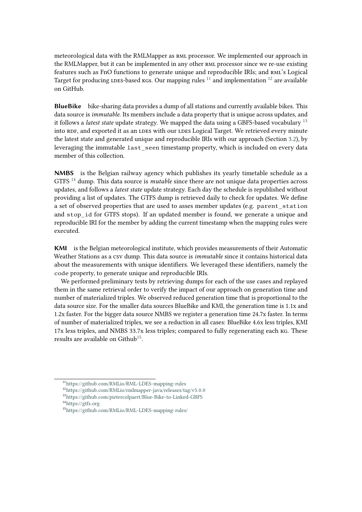meteorological data with the RMLMapper as rml processor. We implemented our approach in the RMLMapper, but it can be implemented in any other RML processor since we re-use existing features such as FnO functions to generate unique and reproducible IRIs; and RML's Logical Target for producing LDES-based kgs. Our mapping rules  $11$  and implementation  $12$  are available on GitHub.

**BlueBike** bike-sharing data provides a dump of all stations and currently available bikes. This data source is *immutable*. Its members include a data property that is unique across updates, and it follows a *latest state* update strategy. We mapped the data using a GBFS-based vocabulary [13](#page-6-2) into RDF, and exported it as an LDES with our LDES Logical Target. We retrieved every minute the latest state and generated unique and reproducible IRIs with our approach (Section [3.2\)](#page-3-1), by leveraging the immutable last\_seen timestamp property, which is included on every data member of this collection.

**NMBS** is the Belgian railway agency which publishes its yearly timetable schedule as a GTFS [14](#page-6-3) dump. This data source is *mutable* since there are not unique data properties across updates, and follows a *latest state* update strategy. Each day the schedule is republished without providing a list of updates. The GTFS dump is retrieved daily to check for updates. We define a set of observed properties that are used to asses member updates (e.g. parent\_station and stop\_id for GTFS stops). If an updated member is found, we generate a unique and reproducible IRI for the member by adding the current timestamp when the mapping rules were executed.

**KMI** is the Belgian meteorological institute, which provides measurements of their Automatic Weather Stations as a csv dump. This data source is *immutable* since it contains historical data about the measurements with unique identifiers. We leveraged these identifiers, namely the code property, to generate unique and reproducible IRIs.

We performed preliminary tests by retrieving dumps for each of the use cases and replayed them in the same retrieval order to verify the impact of our approach on generation time and number of materialized triples. We observed reduced generation time that is proportional to the data source size. For the smaller data sources BlueBike and KMI, the generation time is 1.1x and 1.2x faster. For the bigger data source NMBS we register a generation time 24.7x faster. In terms of number of materialized triples, we see a reduction in all cases: BlueBike 4.6x less triples, KMI 17x less triples, and NMBS 33.7x less triples; compared to fully regenerating each kg. These results are available on Github<sup>[15](#page-6-4)</sup>.

<span id="page-6-0"></span><sup>11</sup>https://github.[com/RMLio/RML-LDES-mapping-rules](https://github.com/RMLio/RML-LDES-mapping-rules)

<span id="page-6-1"></span><sup>12</sup>https://github.[com/RMLio/rmlmapper-java/releases/tag/v5](https://github.com/RMLio/rmlmapper-java/releases/tag/v5.0.0).0.0

<span id="page-6-2"></span><sup>13</sup>https://github.[com/pietercolpaert/Blue-Bike-to-Linked-GBFS](https://github.com/pietercolpaert/Blue-Bike-to-Linked-GBFS)

<span id="page-6-3"></span> $14$ [https://gtfs](https://gtfs.org).org

<span id="page-6-4"></span><sup>15</sup>https://github.[com/RMLio/RML-LDES-mapping-rules/](https://github.com/RMLio/RML-LDES-mapping-rules/)